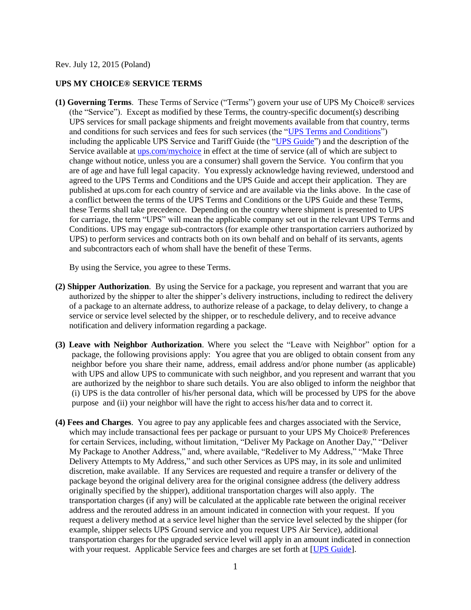Rev. July 12, 2015 (Poland)

## **UPS MY CHOICE® SERVICE TERMS**

**(1) Governing Terms**. These Terms of Service ("Terms") govern your use of UPS My Choice® services (the "Service"). Except as modified by these Terms, the country-specific document(s) describing UPS services for small package shipments and freight movements available from that country, terms and conditions for such services and fees for such services (the ["UPS Terms and Conditions"](http://www.ups.com/content/pl/en/resources/ship/terms/shipping/index.html?WT.svl=Footer)) including the applicable UPS Service and Tariff Guide (the ["UPS Guide"](http://www.ups.com/content/pl/en/shipping/time/zones/index.html)) and the description of the Service available at [ups.com/mychoice](http://www.ups.com/content/pl/en/tracking/ups_mychoice.html) in effect at the time of service (all of which are subject to change without notice, unless you are a consumer) shall govern the Service. You confirm that you are of age and have full legal capacity. You expressly acknowledge having reviewed, understood and agreed to the UPS Terms and Conditions and the UPS Guide and accept their application. They are published at ups.com for each country of service and are available via the links above. In the case of a conflict between the terms of the UPS Terms and Conditions or the UPS Guide and these Terms, these Terms shall take precedence. Depending on the country where shipment is presented to UPS for carriage, the term "UPS" will mean the applicable company set out in the relevant UPS Terms and Conditions. UPS may engage sub-contractors (for example other transportation carriers authorized by UPS) to perform services and contracts both on its own behalf and on behalf of its servants, agents and subcontractors each of whom shall have the benefit of these Terms.

By using the Service, you agree to these Terms.

- **(2) Shipper Authorization**. By using the Service for a package, you represent and warrant that you are authorized by the shipper to alter the shipper's delivery instructions, including to redirect the delivery of a package to an alternate address, to authorize release of a package, to delay delivery, to change a service or service level selected by the shipper, or to reschedule delivery, and to receive advance notification and delivery information regarding a package.
- **(3) Leave with Neighbor Authorization**. Where you select the "Leave with Neighbor" option for a package, the following provisions apply: You agree that you are obliged to obtain consent from any neighbor before you share their name, address, email address and/or phone number (as applicable) with UPS and allow UPS to communicate with such neighbor, and you represent and warrant that you are authorized by the neighbor to share such details. You are also obliged to inform the neighbor that (i) UPS is the data controller of his/her personal data, which will be processed by UPS for the above purpose and (ii) your neighbor will have the right to access his/her data and to correct it.
- **(4) Fees and Charges**. You agree to pay any applicable fees and charges associated with the Service, which may include transactional fees per package or pursuant to your UPS My Choice® Preferences for certain Services, including, without limitation, "Deliver My Package on Another Day," "Deliver My Package to Another Address," and, where available, "Redeliver to My Address," "Make Three Delivery Attempts to My Address," and such other Services as UPS may, in its sole and unlimited discretion, make available. If any Services are requested and require a transfer or delivery of the package beyond the original delivery area for the original consignee address (the delivery address originally specified by the shipper), additional transportation charges will also apply. The transportation charges (if any) will be calculated at the applicable rate between the original receiver address and the rerouted address in an amount indicated in connection with your request. If you request a delivery method at a service level higher than the service level selected by the shipper (for example, shipper selects UPS Ground service and you request UPS Air Service), additional transportation charges for the upgraded service level will apply in an amount indicated in connection with your request. Applicable Service fees and charges are set forth at [\[UPS Guide\]](http://www.ups.com/content/pl/en/shipping/time/zones/index.html).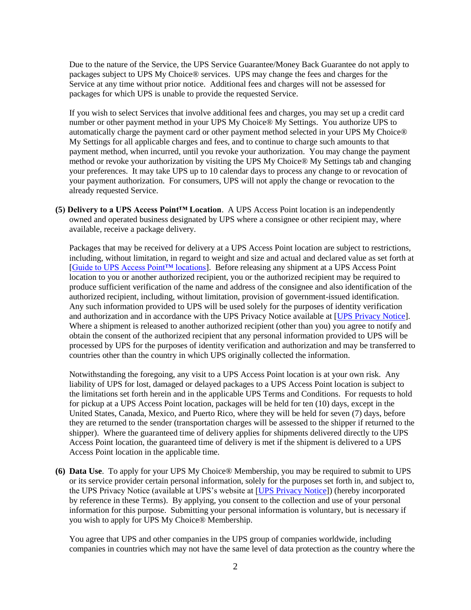Due to the nature of the Service, the UPS Service Guarantee/Money Back Guarantee do not apply to packages subject to UPS My Choice® services. UPS may change the fees and charges for the Service at any time without prior notice. Additional fees and charges will not be assessed for packages for which UPS is unable to provide the requested Service.

If you wish to select Services that involve additional fees and charges, you may set up a credit card number or other payment method in your UPS My Choice® My Settings. You authorize UPS to automatically charge the payment card or other payment method selected in your UPS My Choice® My Settings for all applicable charges and fees, and to continue to charge such amounts to that payment method, when incurred, until you revoke your authorization. You may change the payment method or revoke your authorization by visiting the UPS My Choice® My Settings tab and changing your preferences. It may take UPS up to 10 calendar days to process any change to or revocation of your payment authorization. For consumers, UPS will not apply the change or revocation to the already requested Service.

**(5) Delivery to a UPS Access Point™ Location**. A UPS Access Point location is an independently owned and operated business designated by UPS where a consignee or other recipient may, where available, receive a package delivery.

Packages that may be received for delivery at a UPS Access Point location are subject to restrictions, including, without limitation, in regard to weight and size and actual and declared value as set forth at [\[Guide to UPS Access Point™ locations\]](http://www.ups.com/accesspoint/). Before releasing any shipment at a UPS Access Point location to you or another authorized recipient, you or the authorized recipient may be required to produce sufficient verification of the name and address of the consignee and also identification of the authorized recipient, including, without limitation, provision of government-issued identification. Any such information provided to UPS will be used solely for the purposes of identity verification and authorization and in accordance with the UPS Privacy Notice available at [\[UPS Privacy Notice\]](http://www.ups.com/content/pl/en/resources/ship/terms/privacy.html). Where a shipment is released to another authorized recipient (other than you) you agree to notify and obtain the consent of the authorized recipient that any personal information provided to UPS will be processed by UPS for the purposes of identity verification and authorization and may be transferred to countries other than the country in which UPS originally collected the information.

Notwithstanding the foregoing, any visit to a UPS Access Point location is at your own risk. Any liability of UPS for lost, damaged or delayed packages to a UPS Access Point location is subject to the limitations set forth herein and in the applicable UPS Terms and Conditions. For requests to hold for pickup at a UPS Access Point location, packages will be held for ten (10) days, except in the United States, Canada, Mexico, and Puerto Rico, where they will be held for seven (7) days, before they are returned to the sender (transportation charges will be assessed to the shipper if returned to the shipper). Where the guaranteed time of delivery applies for shipments delivered directly to the UPS Access Point location, the guaranteed time of delivery is met if the shipment is delivered to a UPS Access Point location in the applicable time.

**(6) Data Use**. To apply for your UPS My Choice® Membership, you may be required to submit to UPS or its service provider certain personal information, solely for the purposes set forth in, and subject to, the UPS Privacy Notice (available at UPS's website at [\[UPS Privacy Notice\]](http://www.ups.com/content/pl/en/resources/ship/terms/privacy.html)) (hereby incorporated by reference in these Terms). By applying, you consent to the collection and use of your personal information for this purpose. Submitting your personal information is voluntary, but is necessary if you wish to apply for UPS My Choice® Membership.

You agree that UPS and other companies in the UPS group of companies worldwide, including companies in countries which may not have the same level of data protection as the country where the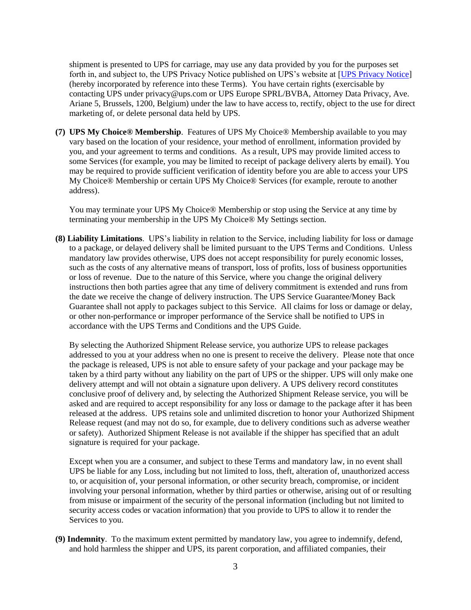shipment is presented to UPS for carriage, may use any data provided by you for the purposes set forth in, and subject to, the UPS Privacy Notice published on UPS's website at [\[UPS Privacy Notice\]](http://www.ups.com/content/pl/en/resources/ship/terms/privacy.html) (hereby incorporated by reference into these Terms). You have certain rights (exercisable by contacting UPS under privacy@ups.com or UPS Europe SPRL/BVBA, Attorney Data Privacy, Ave. Ariane 5, Brussels, 1200, Belgium) under the law to have access to, rectify, object to the use for direct marketing of, or delete personal data held by UPS.

**(7) UPS My Choice® Membership**. Features of UPS My Choice® Membership available to you may vary based on the location of your residence, your method of enrollment, information provided by you, and your agreement to terms and conditions. As a result, UPS may provide limited access to some Services (for example, you may be limited to receipt of package delivery alerts by email). You may be required to provide sufficient verification of identity before you are able to access your UPS My Choice® Membership or certain UPS My Choice® Services (for example, reroute to another address).

You may terminate your UPS My Choice® Membership or stop using the Service at any time by terminating your membership in the UPS My Choice® My Settings section.

**(8) Liability Limitations**. UPS's liability in relation to the Service, including liability for loss or damage to a package, or delayed delivery shall be limited pursuant to the UPS Terms and Conditions. Unless mandatory law provides otherwise, UPS does not accept responsibility for purely economic losses, such as the costs of any alternative means of transport, loss of profits, loss of business opportunities or loss of revenue. Due to the nature of this Service, where you change the original delivery instructions then both parties agree that any time of delivery commitment is extended and runs from the date we receive the change of delivery instruction. The UPS Service Guarantee/Money Back Guarantee shall not apply to packages subject to this Service. All claims for loss or damage or delay, or other non-performance or improper performance of the Service shall be notified to UPS in accordance with the UPS Terms and Conditions and the UPS Guide.

By selecting the Authorized Shipment Release service, you authorize UPS to release packages addressed to you at your address when no one is present to receive the delivery. Please note that once the package is released, UPS is not able to ensure safety of your package and your package may be taken by a third party without any liability on the part of UPS or the shipper. UPS will only make one delivery attempt and will not obtain a signature upon delivery. A UPS delivery record constitutes conclusive proof of delivery and, by selecting the Authorized Shipment Release service, you will be asked and are required to accept responsibility for any loss or damage to the package after it has been released at the address. UPS retains sole and unlimited discretion to honor your Authorized Shipment Release request (and may not do so, for example, due to delivery conditions such as adverse weather or safety). Authorized Shipment Release is not available if the shipper has specified that an adult signature is required for your package.

Except when you are a consumer, and subject to these Terms and mandatory law, in no event shall UPS be liable for any Loss, including but not limited to loss, theft, alteration of, unauthorized access to, or acquisition of, your personal information, or other security breach, compromise, or incident involving your personal information, whether by third parties or otherwise, arising out of or resulting from misuse or impairment of the security of the personal information (including but not limited to security access codes or vacation information) that you provide to UPS to allow it to render the Services to you.

**(9) Indemnity**. To the maximum extent permitted by mandatory law, you agree to indemnify, defend, and hold harmless the shipper and UPS, its parent corporation, and affiliated companies, their